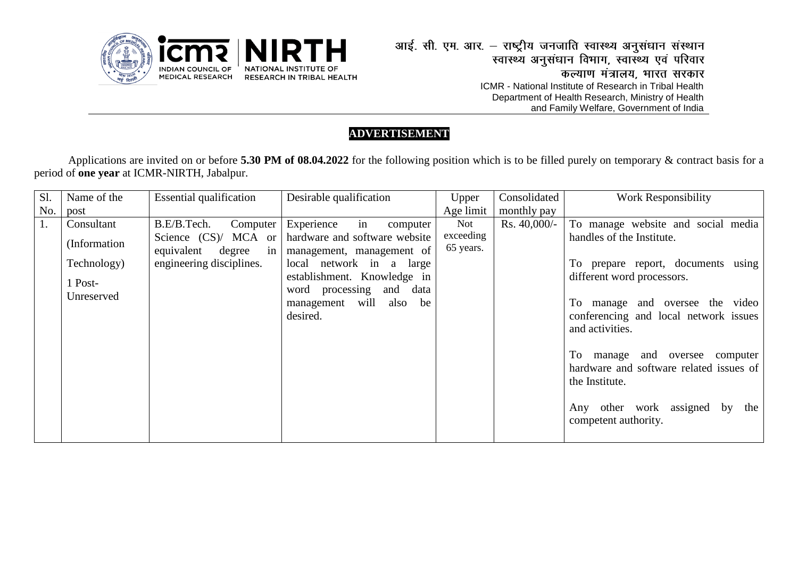

## **ADVERTISEMENT**

Applications are invited on or before **5.30 PM of 08.04.2022** for the following position which is to be filled purely on temporary & contract basis for a period of **one year** at ICMR-NIRTH, Jabalpur.

| Sl. | Name of the   | <b>Essential qualification</b> | Desirable qualification                              | Upper     | Consolidated    | <b>Work Responsibility</b>              |
|-----|---------------|--------------------------------|------------------------------------------------------|-----------|-----------------|-----------------------------------------|
| No. | post          |                                |                                                      | Age limit | monthly pay     |                                         |
| 1.  | Consultant    | B.E/B.Tech.<br>Computer        | Experience<br>in<br>computer                         | Not       | $Rs. 40,000/$ - | To manage website and social media      |
|     | (Information) |                                | Science (CS)/ MCA or   hardware and software website | exceeding |                 | handles of the Institute.               |
|     |               | equivalent<br>degree           | in   management, management of                       | 65 years. |                 |                                         |
|     | Technology)   | engineering disciplines.       | local network in a<br>large                          |           |                 | To prepare report, documents using      |
|     | 1 Post-       |                                | establishment. Knowledge in                          |           |                 | different word processors.              |
|     | Unreserved    |                                | word processing<br>data<br>and                       |           |                 |                                         |
|     |               |                                | management will<br>also be                           |           |                 | To manage and oversee the video         |
|     |               |                                | desired.                                             |           |                 | conferencing and local network issues   |
|     |               |                                |                                                      |           |                 | and activities.                         |
|     |               |                                |                                                      |           |                 |                                         |
|     |               |                                |                                                      |           |                 | To manage and oversee computer          |
|     |               |                                |                                                      |           |                 | hardware and software related issues of |
|     |               |                                |                                                      |           |                 | the Institute.                          |
|     |               |                                |                                                      |           |                 |                                         |
|     |               |                                |                                                      |           |                 | Any other work assigned by<br>the       |
|     |               |                                |                                                      |           |                 | competent authority.                    |
|     |               |                                |                                                      |           |                 |                                         |